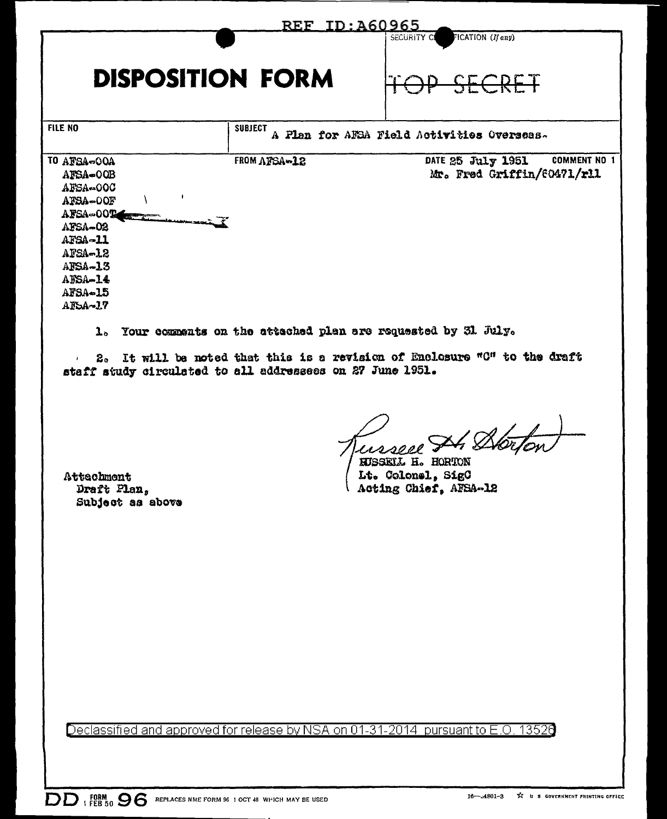|                                                                                                                                               |                | REF ID: A60965                                                                                                                         |
|-----------------------------------------------------------------------------------------------------------------------------------------------|----------------|----------------------------------------------------------------------------------------------------------------------------------------|
|                                                                                                                                               |                | FICATION (If any)<br>SECURITY C                                                                                                        |
| <b>DISPOSITION FORM</b>                                                                                                                       |                |                                                                                                                                        |
| FILE NO                                                                                                                                       | <b>SUBJECT</b> | A Flan for AFSA Field Activities Overseas.                                                                                             |
| TO AFSA-OOA<br>AFSA-OOB<br>AFSA-00C<br>ŧ<br>AFSA-OOF<br>AFSA-00T<br>AFSA-02<br>AFSA-11<br>AFSA-12<br>AFSA-13<br>AESA-14<br>AFSA-15<br>AFSA-17 | FROM AFSA-12   | <b>COMMENT NO 1</b><br>DATE 25 July 1951<br>Mr. Fred Griffin/60471/rll                                                                 |
| $\mathbf{1}_{\circ}$<br>$\mathbf{z}_\circ$<br>staff study circulated to all addressees on 27 June 1951.                                       |                | Your comments on the attached plan are requested by 31 July.<br>It will be noted that this is a revision of Enclosure "C" to the draft |
| Attachment<br>Draft Plan,<br>Subject as above                                                                                                 |                | F4 Bi<br>KUSSKIL H. HORTON<br>Lt. Colonel, SigC<br>Acting Chief, AFSA-12                                                               |
|                                                                                                                                               |                |                                                                                                                                        |
|                                                                                                                                               |                |                                                                                                                                        |
|                                                                                                                                               |                |                                                                                                                                        |
|                                                                                                                                               |                |                                                                                                                                        |
|                                                                                                                                               |                | Declassified and approved for release by NSA on 01-31-2014 pursuant to E.O. 13526                                                      |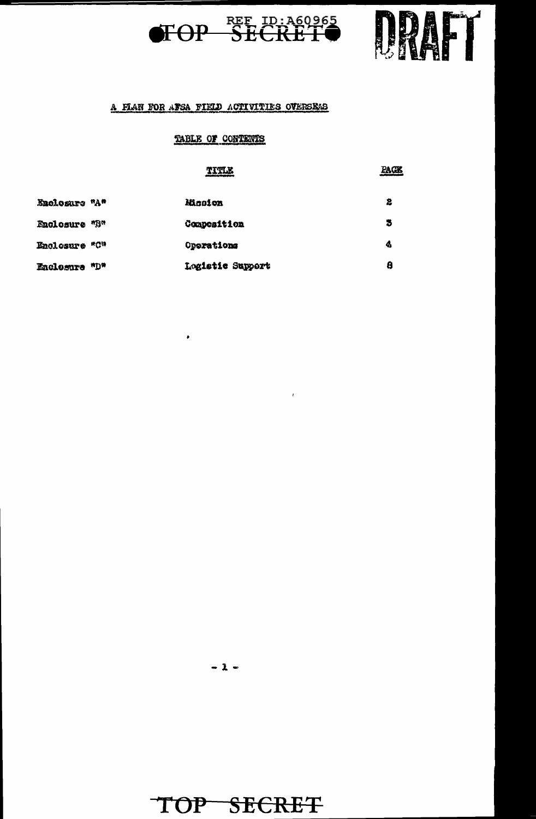



PAGE

#### A FLAN FOR ATSA FIELD ACTIVITIES OVERSEAS

#### TABLE OF CONTENTS

#### TITLE

 $\bar{I}$ 

| Enclosure "A" |     | <b>Mission</b>     | 2 |
|---------------|-----|--------------------|---|
| Enclosure "B" |     | <b>Composition</b> | з |
| Enclosure "C" |     | Oporations         | 4 |
| Eaclosure     | uDa | Logistic Support   | 8 |

 $\bullet$ 

 $-2 -$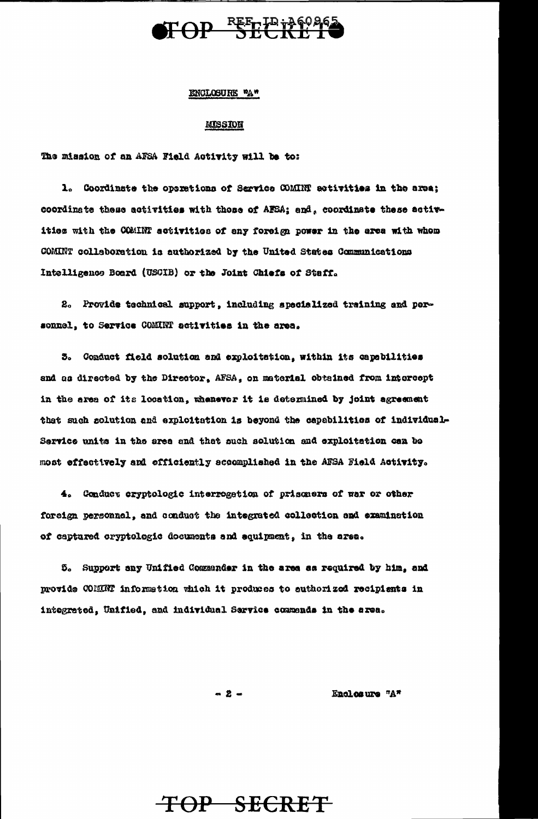

#### ENCLOSURE "A"

#### **MISSION**

The mission of an AFSA Field Activity will be to:

1. Coordinate the operations of Sarvice COMINT activities in the area; coordinate these activities with those of AFSA; and, coordinate these activities with the COMINT activities of any foreign power in the area with whom COMINT colleboration is authorized by the United States Communications Intelligence Board (USCIB) or the Joint Chiefs of Staff.

2. Provide technical support, including specialized training and personnel, to Service COMINT activities in the area.

3. Conduct field solution and exploitation, within its capabilities and as directed by the Director, AFSA, on material obtained from intercept in the area of its location, whenever it is determined by joint agreement that such solution and exploitation is beyond the capabilities of individual-Service units in the area and that such solution and exploitation can be most effectively and efficiently accomplished in the AFSA Field Activity.

4. Conduct eryptologic interregation of prisoners of war or other foreign personnel, and conduct the integrated collection and examination of captured cryptologic documents and equipment, in the area.

5. Support any Unified Commander in the area as required by him, and provide COMINT information which it produces to authorized recipients in intograted, Unified, and individual Sarvice commends in the area.

 $-2 -$ 

Enclosure "A"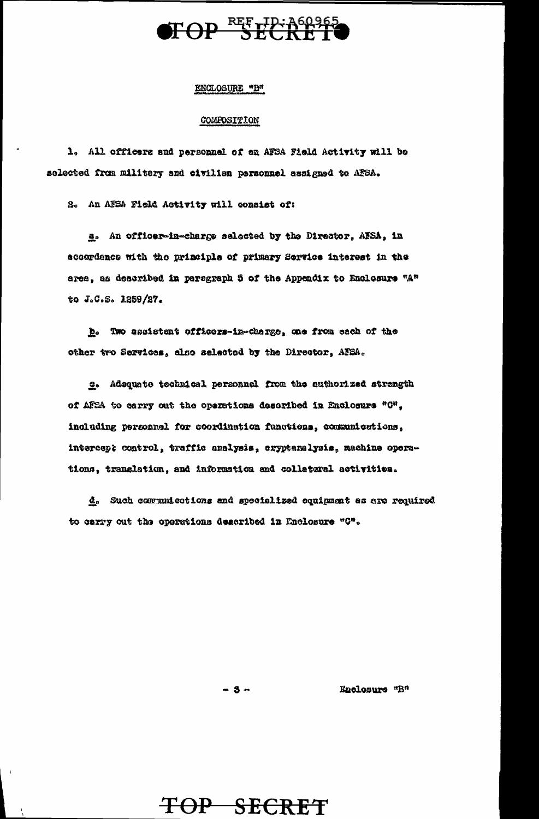

#### ENCLOSURE "B"

#### COMPOSITION

1. All officers and personnel of an AFSA Field Activity will be selected from military and civilian personnel assigned to AFSA.

2. An AFSA Field Activity will consist of:

a. An officer-in-charge selected by the Director, AFSA, in accordence with the principle of primary Service interest in the area, as described in paragraph 5 of the Appendix to Enclosure "A" to J.G.S. 1259/27.

b. Two assistent officers-in-charge, one from each of the other two Services, also selected by the Director, AFSA.

e. Adequate technical personnel from the cuthorized strength of AFSA to carry out the operations described in Enclosure "C", including personnel for coordination functions, communications, intercept control, traffic analysis, cryptanalysis, machine operations, translation, and information and collateral activities.

d. Such communications and specialized equipment as are required to carry out the operations described in Enclosure "C".

 $-5-$ 

TOP SECRET

Enclosure "B"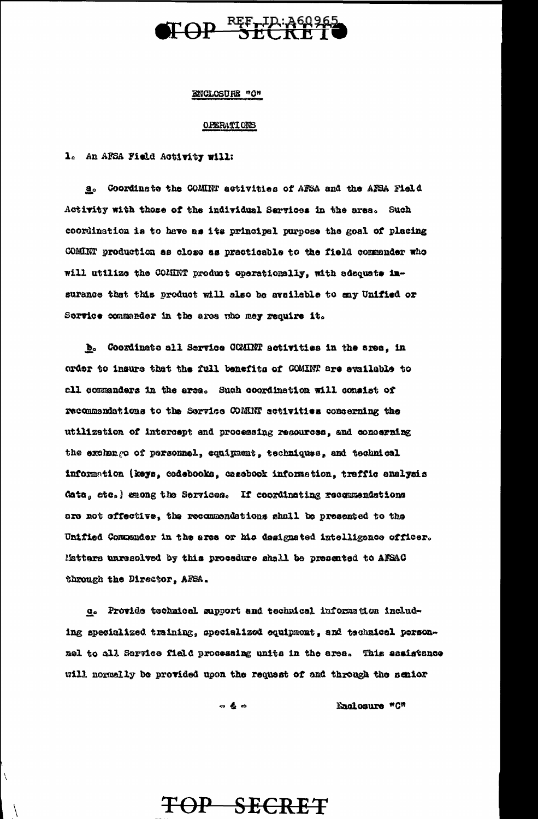

#### ENCLOSURE "O"

#### **OPERATIONS**

1. An AFSA Field Activity will:

a. Coordinate the COMINT activities of AFSA and the AFSA Field Activity with those of the individual Services in the area. Such coordination is to have as its principal purpose the goal of placing COMINT production as close as practicable to the field commander who will utilize the COMINT product operationally, with adequate insurance that this product will also be available to any Unified or Service commander in the area who may require it.

b. Coordinate all Service COMINT activities in the area, in order to insure that the full benefits of COMINT are available to all commanders in the area. Such coordination will consist of recommendations to the Service COMNT activities concerning the utilization of intercept and processing resources, and concerning the exchange of personnel, equipment, techniques, and technical information (keys, codebooks, casebook information, traffic analysis data, etc.) enong the Sorvices. If coordinating recommendations are not effective, the recommendations shall be presented to the Unified Commender in the area or his designated intelligence officer. Matters unresolved by this procedure shall be presented to AFSAC through the Director, AFSA.

e. Provide technical support and technical information including specialized training, specialized equipment, and technical personnel to all Service field processing units in the area. This assistance will normally be provided upon the request of and through the senior

> $\frac{1}{2}$   $\frac{1}{2}$   $\frac{1}{2}$ Enclosure "C"

## TOP SECRET

 $\setminus$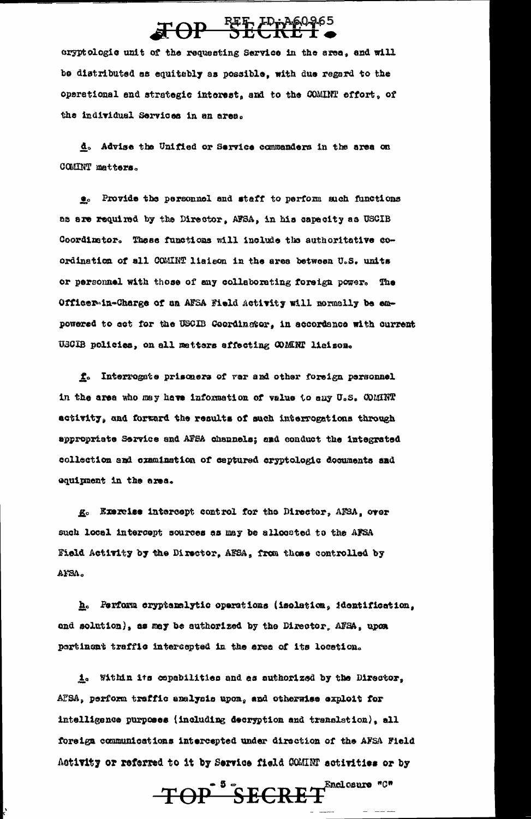# TOP REF. IDiy 460965

cryptologic unit of the requesting Service in the area, and will be distributed as equitably as possible, with due regard to the operational and strategic interest, and to the COMINT effort, of the individual Services in an area.

d. Advise the Unified or Service commanders in the area on COMINT matters.

e. Provide the personnel and staff to perform such functions as are required by the Director, AFSA, in his capacity as USCIB Coordinator. These functions will include the authoritative coordination of all COMINT liaison in the area between U.S. units or personnel with those of any collaborating foreign power. The Officer-in-Charge of an AFSA Field Activity will normally be empowered to act for the USCIB Coordinator, in accordance with current USCIB policies, on all metters affecting COMINT liaison.

L. Interrogste prisoners of war and other foreign personnel in the area who may have information of value to any U.S. COMINT activity, and forward the results of such interrogations through appropriate Service and AFSA channels; and conduct the integrated collection and oxamination of captured cryptologic documents and equipment in the area.

R. Exercise intercept control for the Director, AFSA, over such local intercept sources as may be allocated to the AFSA Field Activity by the Director, AFSA, from those controlled by AFSA.

h. Ferform cryptanalytic operations (isolation, identification, and solution), as may be suthorized by the Director, AFSA, upon pertinent traffic intercepted in the area of its location.

i. Within its copabilities and as authorized by the Director, AFSA, perform traffic analysis upon, and otherwise exploit for intelligence purposes (including decryption and translation), all foreign communications intercepted under direction of the AFSA Field Activity or referred to it by Service field COMINT activities or by

TOP SECRET<sup>Enclosure</sup> "C"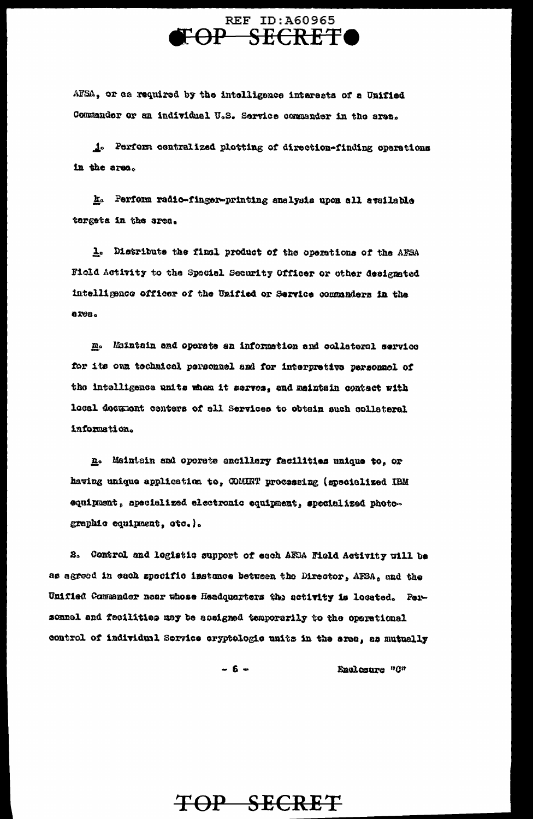### **REF ID: A60965** FOP SECRETO

AFSA, or as required by the intelligence interests of a Unified Commander or an individual U.S. Service commander in the area.

1. Perform centralized plotting of direction-finding operations in the area.

k. Perform radio-finger-printing analysis upon all available targets in the area.

1. Distribute the final product of the operations of the AFSA Field Activity to the Special Security Officer or other designated intelligence officer of the Unified or Service commanders in the **ares.** 

m. Muintain and operate an information and collateral service for its own tochaical personnel and for interpretive personnel of the intelligence units whom it serves, and meintain contact with local decutiont conters of all Services to obtain such collateral information.

n. Maintain and operate ancillary facilities unique to, or having unique application to, COMINT processing (specialized IBM equipment, specialized electronic equipment, specialized photographic equipment, otc.).

2. Control and logistic support of each AFSA Field Activity will be as agreed in each specific instance between the Director, AFSA, and the Unified Commander near whose Headquarters the activity is losated. Personnel and fecilities may be assigned temporarily to the operational control of individual Service oryptologic units in the area, as mutually

> $-6-$ Enclosure "C"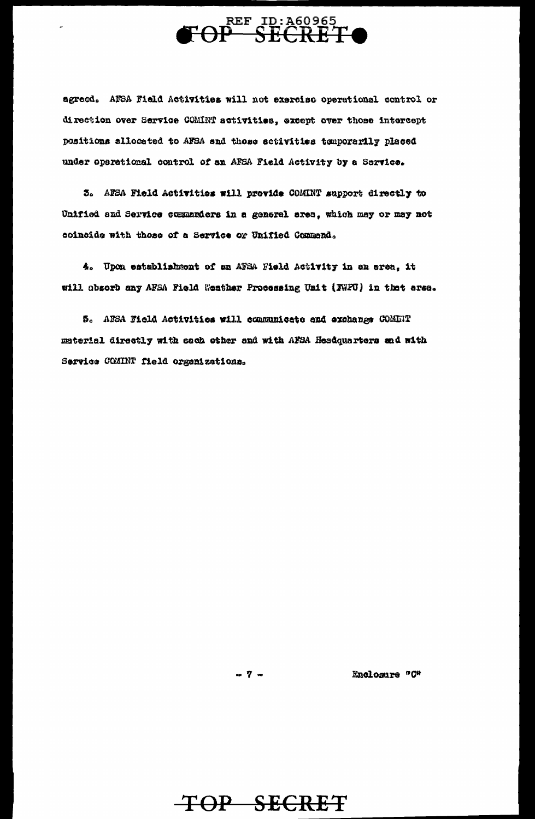

agreed. AFSA Field Activities will not exercise operational control or direction over Service COMINT activities, except over those intercept positions allocated to AFSA and those activities temporarily placed under operational control of an AFSA Field Activity by a Service.

5. AESA Field Activities will provide COMINT support directly to Unified and Service commanders in a general area, which may or may not coincide with those of a Service or Unified Commend.

4. Upon establishment of an AFSA Field Activity in an area, it will absorb any AFSA Field Weather Processing Unit (FWPU) in that area.

5. AESA Field Activities will communicate and exchange COMENT material directly with each other and with AFSA Headquarters and with Service COMINT field organizations.

 $-7 -$ 

Enclosure "C"

TOP SECRET